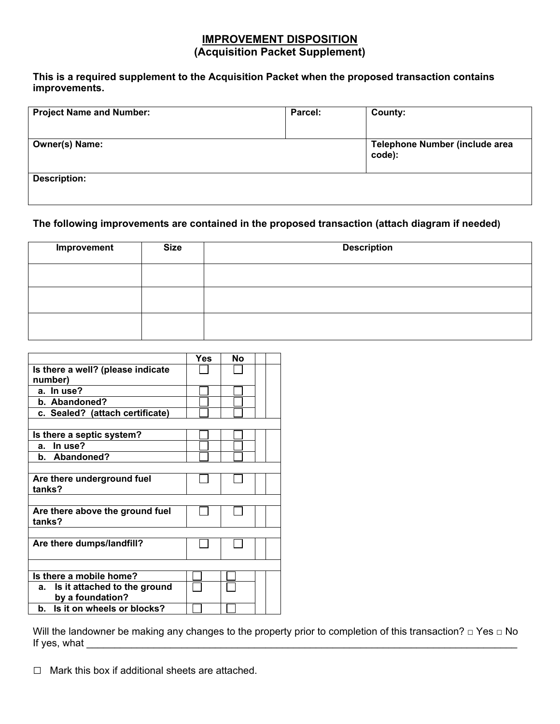# **IMPROVEMENT DISPOSITION (Acquisition Packet Supplement)**

## **This is a required supplement to the Acquisition Packet when the proposed transaction contains improvements.**

| <b>Project Name and Number:</b> | Parcel: | County: |
|---------------------------------|---------|---------|
| <b>Owner(s) Name:</b>           |         |         |
| <b>Description:</b>             |         |         |

## **The following improvements are contained in the proposed transaction (attach diagram if needed)**

| Improvement | <b>Size</b> | <b>Description</b> |  |  |
|-------------|-------------|--------------------|--|--|
|             |             |                    |  |  |
|             |             |                    |  |  |
|             |             |                    |  |  |

|                                              | <b>Yes</b> | Nο |  |
|----------------------------------------------|------------|----|--|
| Is there a well? (please indicate<br>number) |            |    |  |
|                                              |            |    |  |
| a. In use?                                   |            |    |  |
| b. Abandoned?                                |            |    |  |
| c. Sealed? (attach certificate)              |            |    |  |
|                                              |            |    |  |
| Is there a septic system?                    |            |    |  |
| In use?<br>а.                                |            |    |  |
| b. Abandoned?                                |            |    |  |
|                                              |            |    |  |
| Are there underground fuel<br>tanks?         |            |    |  |
|                                              |            |    |  |
| Are there above the ground fuel<br>tanks?    |            |    |  |
|                                              |            |    |  |
| Are there dumps/landfill?                    |            |    |  |
|                                              |            |    |  |
| Is there a mobile home?                      |            |    |  |
| Is it attached to the ground<br>а.           |            |    |  |
| by a foundation?                             |            |    |  |
| Is it on wheels or blocks?<br>b.             |            |    |  |

Will the landowner be making any changes to the property prior to completion of this transaction? □ Yes □ No If yes, what

**□** Mark this box if additional sheets are attached.